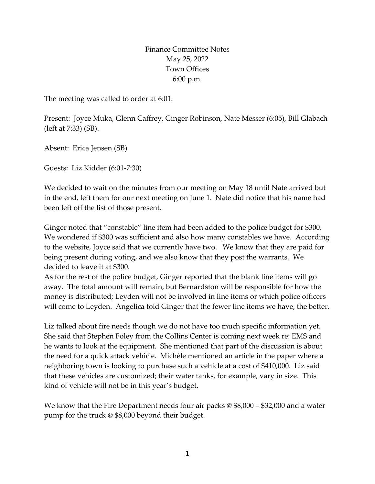Finance Committee Notes May 25, 2022 Town Offices 6:00 p.m.

The meeting was called to order at 6:01.

Present: Joyce Muka, Glenn Caffrey, Ginger Robinson, Nate Messer (6:05), Bill Glabach (left at 7:33) (SB).

Absent: Erica Jensen (SB)

Guests: Liz Kidder (6:01-7:30)

We decided to wait on the minutes from our meeting on May 18 until Nate arrived but in the end, left them for our next meeting on June 1. Nate did notice that his name had been left off the list of those present.

Ginger noted that "constable" line item had been added to the police budget for \$300. We wondered if \$300 was sufficient and also how many constables we have. According to the website, Joyce said that we currently have two. We know that they are paid for being present during voting, and we also know that they post the warrants. We decided to leave it at \$300.

As for the rest of the police budget, Ginger reported that the blank line items will go away. The total amount will remain, but Bernardston will be responsible for how the money is distributed; Leyden will not be involved in line items or which police officers will come to Leyden. Angelica told Ginger that the fewer line items we have, the better.

Liz talked about fire needs though we do not have too much specific information yet. She said that Stephen Foley from the Collins Center is coming next week re: EMS and he wants to look at the equipment. She mentioned that part of the discussion is about the need for a quick attack vehicle. Michèle mentioned an article in the paper where a neighboring town is looking to purchase such a vehicle at a cost of \$410,000. Liz said that these vehicles are customized; their water tanks, for example, vary in size. This kind of vehicle will not be in this year's budget.

We know that the Fire Department needs four air packs  $\omega$  \$8,000 = \$32,000 and a water pump for the truck @ \$8,000 beyond their budget.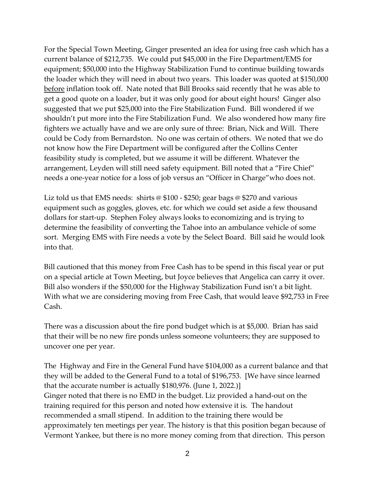For the Special Town Meeting, Ginger presented an idea for using free cash which has a current balance of \$212,735. We could put \$45,000 in the Fire Department/EMS for equipment; \$50,000 into the Highway Stabilization Fund to continue building towards the loader which they will need in about two years. This loader was quoted at \$150,000 before inflation took off. Nate noted that Bill Brooks said recently that he was able to get a good quote on a loader, but it was only good for about eight hours! Ginger also suggested that we put \$25,000 into the Fire Stabilization Fund. Bill wondered if we shouldn't put more into the Fire Stabilization Fund. We also wondered how many fire fighters we actually have and we are only sure of three: Brian, Nick and Will. There could be Cody from Bernardston. No one was certain of others. We noted that we do not know how the Fire Department will be configured after the Collins Center feasibility study is completed, but we assume it will be different. Whatever the arrangement, Leyden will still need safety equipment. Bill noted that a "Fire Chief" needs a one-year notice for a loss of job versus an "Officer in Charge"who does not.

Liz told us that EMS needs: shirts @ \$100 - \$250; gear bags @ \$270 and various equipment such as goggles, gloves, etc. for which we could set aside a few thousand dollars for start-up. Stephen Foley always looks to economizing and is trying to determine the feasibility of converting the Tahoe into an ambulance vehicle of some sort. Merging EMS with Fire needs a vote by the Select Board. Bill said he would look into that.

Bill cautioned that this money from Free Cash has to be spend in this fiscal year or put on a special article at Town Meeting, but Joyce believes that Angelica can carry it over. Bill also wonders if the \$50,000 for the Highway Stabilization Fund isn't a bit light. With what we are considering moving from Free Cash, that would leave \$92,753 in Free Cash.

There was a discussion about the fire pond budget which is at \$5,000. Brian has said that their will be no new fire ponds unless someone volunteers; they are supposed to uncover one per year.

The Highway and Fire in the General Fund have \$104,000 as a current balance and that they will be added to the General Fund to a total of \$196,753. [We have since learned that the accurate number is actually \$180,976. (June 1, 2022.)] Ginger noted that there is no EMD in the budget. Liz provided a hand-out on the training required for this person and noted how extensive it is. The handout recommended a small stipend. In addition to the training there would be approximately ten meetings per year. The history is that this position began because of Vermont Yankee, but there is no more money coming from that direction. This person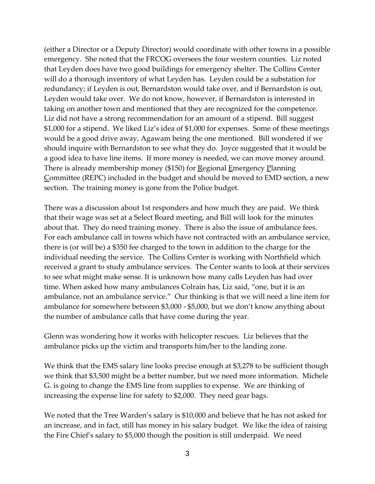(either a Director or a Deputy Director) would coordinate with other towns in a possible emergency. She noted that the FRCOG oversees the four western counties. Liz noted that Leyden does have two good buildings for emergency shelter. The Collins Center will do a thorough inventory of what Leyden has. Leyden could be a substation for redundancy; if Leyden is out, Bernardston would take over, and if Bernardston is out, Leyden would take over. We do not know, however, if Bernardston is interested in taking on another town and mentioned that they are recognized for the competence. Liz did not have a strong recommendation for an amount of a stipend. Bill suggest \$1,000 for a stipend. We liked Liz's idea of \$1,000 for expenses. Some of these meetings would be a good drive away, Agawam being the one mentioned. Bill wondered if we should inquire with Bernardston to see what they do. Joyce suggested that it would be a good idea to have line items. If more money is needed, we can move money around. There is already membership money (\$150) for Regional Emergency Planning Committee (REPC) included in the budget and should be moved to EMD section, a new section. The training money is gone from the Police budget.

There was a discussion about 1st responders and how much they are paid. We think that their wage was set at a Select Board meeting, and Bill will look for the minutes about that. They do need training money. There is also the issue of ambulance fees. For each ambulance call in towns which have not contracted with an ambulance service, there is (or will be) a \$350 fee charged to the town in addition to the charge for the individual needing the service. The Collins Center is working with Northfield which received a grant to study ambulance services. The Center wants to look at their services to see what might make sense. It is unknown how many calls Leyden has had over time. When asked how many ambulances Colrain has, Liz said, "one, but it is an ambulance, not an ambulance service." Our thinking is that we will need a line item for ambulance for somewhere between \$3,000 - \$5,000, but we don't know anything about the number of ambulance calls that have come during the year.

Glenn was wondering how it works with helicopter rescues. Liz believes that the ambulance picks up the victim and transports him/her to the landing zone.

We think that the EMS salary line looks precise enough at \$3,278 to be sufficient though we think that \$3,500 might be a better number, but we need more information. Michele G. is going to change the EMS line from supplies to expense. We are thinking of increasing the expense line for safety to \$2,000. They need gear bags.

We noted that the Tree Warden's salary is \$10,000 and believe that he has not asked for an increase, and in fact, still has money in his salary budget. We like the idea of raising the Fire Chief's salary to \$5,000 though the position is still underpaid. We need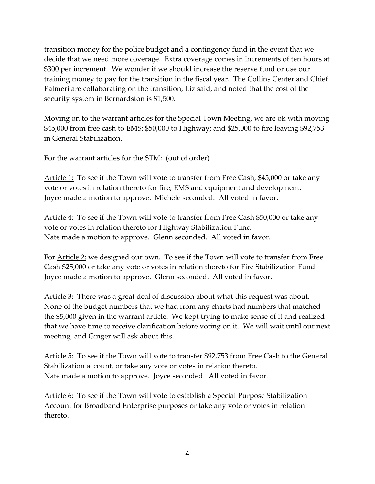transition money for the police budget and a contingency fund in the event that we decide that we need more coverage. Extra coverage comes in increments of ten hours at \$300 per increment. We wonder if we should increase the reserve fund or use our training money to pay for the transition in the fiscal year. The Collins Center and Chief Palmeri are collaborating on the transition, Liz said, and noted that the cost of the security system in Bernardston is \$1,500.

Moving on to the warrant articles for the Special Town Meeting, we are ok with moving \$45,000 from free cash to EMS; \$50,000 to Highway; and \$25,000 to fire leaving \$92,753 in General Stabilization.

For the warrant articles for the STM: (out of order)

Article 1: To see if the Town will vote to transfer from Free Cash, \$45,000 or take any vote or votes in relation thereto for fire, EMS and equipment and development. Joyce made a motion to approve. Michèle seconded. All voted in favor.

Article 4: To see if the Town will vote to transfer from Free Cash \$50,000 or take any vote or votes in relation thereto for Highway Stabilization Fund. Nate made a motion to approve. Glenn seconded. All voted in favor.

For Article 2: we designed our own. To see if the Town will vote to transfer from Free Cash \$25,000 or take any vote or votes in relation thereto for Fire Stabilization Fund. Joyce made a motion to approve. Glenn seconded. All voted in favor.

Article 3: There was a great deal of discussion about what this request was about. None of the budget numbers that we had from any charts had numbers that matched the \$5,000 given in the warrant article. We kept trying to make sense of it and realized that we have time to receive clarification before voting on it. We will wait until our next meeting, and Ginger will ask about this.

Article 5: To see if the Town will vote to transfer \$92,753 from Free Cash to the General Stabilization account, or take any vote or votes in relation thereto. Nate made a motion to approve. Joyce seconded. All voted in favor.

Article 6: To see if the Town will vote to establish a Special Purpose Stabilization Account for Broadband Enterprise purposes or take any vote or votes in relation thereto.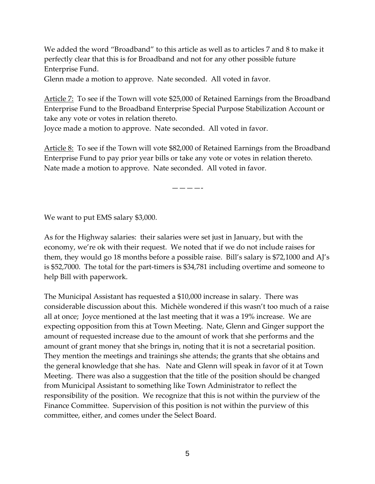We added the word "Broadband" to this article as well as to articles 7 and 8 to make it perfectly clear that this is for Broadband and not for any other possible future Enterprise Fund.

Glenn made a motion to approve. Nate seconded. All voted in favor.

Article 7: To see if the Town will vote \$25,000 of Retained Earnings from the Broadband Enterprise Fund to the Broadband Enterprise Special Purpose Stabilization Account or take any vote or votes in relation thereto.

Joyce made a motion to approve. Nate seconded. All voted in favor.

Article 8: To see if the Town will vote \$82,000 of Retained Earnings from the Broadband Enterprise Fund to pay prior year bills or take any vote or votes in relation thereto. Nate made a motion to approve. Nate seconded. All voted in favor.

————-

We want to put EMS salary \$3,000.

As for the Highway salaries: their salaries were set just in January, but with the economy, we're ok with their request. We noted that if we do not include raises for them, they would go 18 months before a possible raise. Bill's salary is \$72,1000 and AJ's is \$52,7000. The total for the part-timers is \$34,781 including overtime and someone to help Bill with paperwork.

The Municipal Assistant has requested a \$10,000 increase in salary. There was considerable discussion about this. Michèle wondered if this wasn't too much of a raise all at once; Joyce mentioned at the last meeting that it was a 19% increase. We are expecting opposition from this at Town Meeting. Nate, Glenn and Ginger support the amount of requested increase due to the amount of work that she performs and the amount of grant money that she brings in, noting that it is not a secretarial position. They mention the meetings and trainings she attends; the grants that she obtains and the general knowledge that she has. Nate and Glenn will speak in favor of it at Town Meeting. There was also a suggestion that the title of the position should be changed from Municipal Assistant to something like Town Administrator to reflect the responsibility of the position. We recognize that this is not within the purview of the Finance Committee. Supervision of this position is not within the purview of this committee, either, and comes under the Select Board.